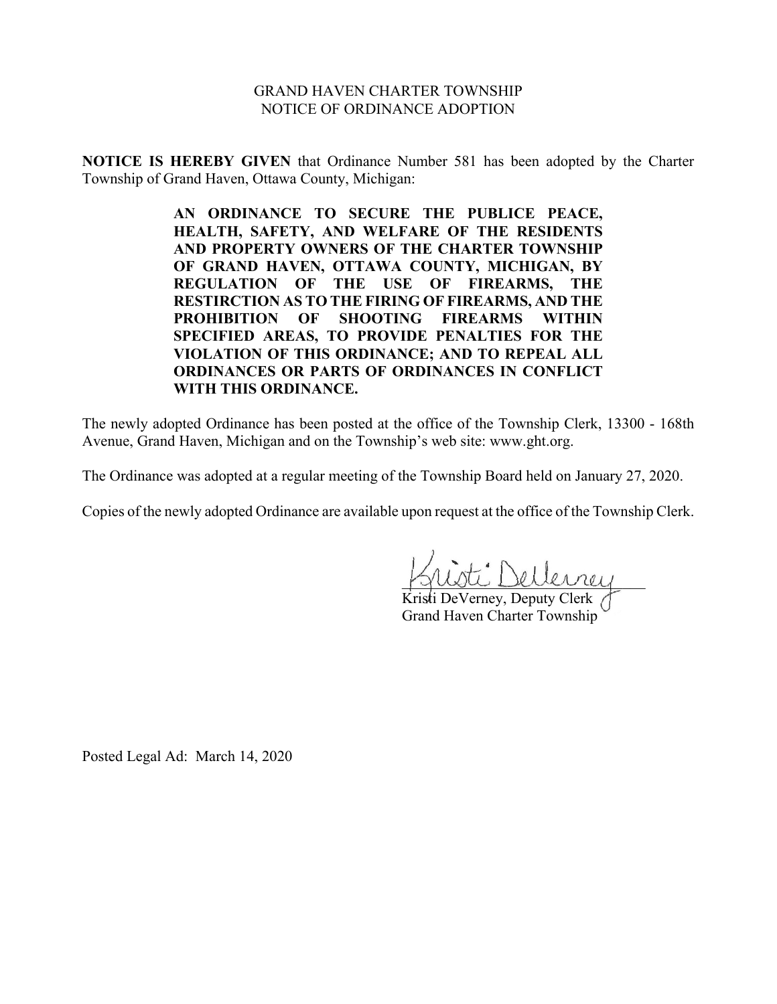#### GRAND HAVEN CHARTER TOWNSHIP NOTICE OF ORDINANCE ADOPTION

**NOTICE IS HEREBY GIVEN** that Ordinance Number 581 has been adopted by the Charter Township of Grand Haven, Ottawa County, Michigan:

> **AN ORDINANCE TO SECURE THE PUBLICE PEACE, HEALTH, SAFETY, AND WELFARE OF THE RESIDENTS AND PROPERTY OWNERS OF THE CHARTER TOWNSHIP OF GRAND HAVEN, OTTAWA COUNTY, MICHIGAN, BY REGULATION OF THE USE OF FIREARMS, THE RESTIRCTION AS TO THE FIRING OF FIREARMS, AND THE PROHIBITION OF SHOOTING FIREARMS WITHIN SPECIFIED AREAS, TO PROVIDE PENALTIES FOR THE VIOLATION OF THIS ORDINANCE; AND TO REPEAL ALL ORDINANCES OR PARTS OF ORDINANCES IN CONFLICT WITH THIS ORDINANCE.**

The newly adopted Ordinance has been posted at the office of the Township Clerk, 13300 - 168th Avenue, Grand Haven, Michigan and on the Township's web site: www.ght.org.

The Ordinance was adopted at a regular meeting of the Township Board held on January 27, 2020.

Copies of the newly adopted Ordinance are available upon request at the office of the Township Clerk.

\_\_\_\_\_\_\_\_\_\_\_\_\_\_\_\_\_\_\_\_\_\_\_\_\_\_\_\_\_\_\_\_

Kristi DeVerney, Deputy Clerk / Grand Haven Charter Township

Posted Legal Ad: March 14, 2020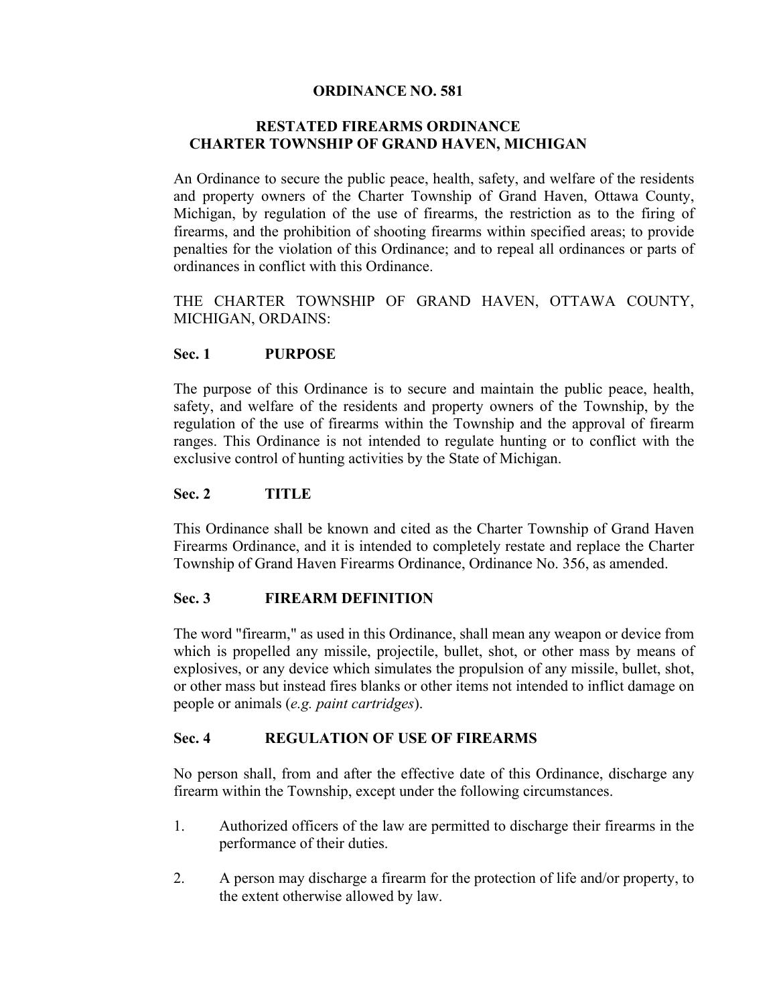### **ORDINANCE NO. 581**

## **RESTATED FIREARMS ORDINANCE CHARTER TOWNSHIP OF GRAND HAVEN, MICHIGAN**

An Ordinance to secure the public peace, health, safety, and welfare of the residents and property owners of the Charter Township of Grand Haven, Ottawa County, Michigan, by regulation of the use of firearms, the restriction as to the firing of firearms, and the prohibition of shooting firearms within specified areas; to provide penalties for the violation of this Ordinance; and to repeal all ordinances or parts of ordinances in conflict with this Ordinance.

THE CHARTER TOWNSHIP OF GRAND HAVEN, OTTAWA COUNTY, MICHIGAN, ORDAINS:

### **Sec. 1 PURPOSE**

The purpose of this Ordinance is to secure and maintain the public peace, health, safety, and welfare of the residents and property owners of the Township, by the regulation of the use of firearms within the Township and the approval of firearm ranges. This Ordinance is not intended to regulate hunting or to conflict with the exclusive control of hunting activities by the State of Michigan.

### **Sec. 2 TITLE**

This Ordinance shall be known and cited as the Charter Township of Grand Haven Firearms Ordinance, and it is intended to completely restate and replace the Charter Township of Grand Haven Firearms Ordinance, Ordinance No. 356, as amended.

## **Sec. 3 FIREARM DEFINITION**

The word "firearm," as used in this Ordinance, shall mean any weapon or device from which is propelled any missile, projectile, bullet, shot, or other mass by means of explosives, or any device which simulates the propulsion of any missile, bullet, shot, or other mass but instead fires blanks or other items not intended to inflict damage on people or animals (*e.g. paint cartridges*).

## **Sec. 4 REGULATION OF USE OF FIREARMS**

No person shall, from and after the effective date of this Ordinance, discharge any firearm within the Township, except under the following circumstances.

- 1. Authorized officers of the law are permitted to discharge their firearms in the performance of their duties.
- 2. A person may discharge a firearm for the protection of life and/or property, to the extent otherwise allowed by law.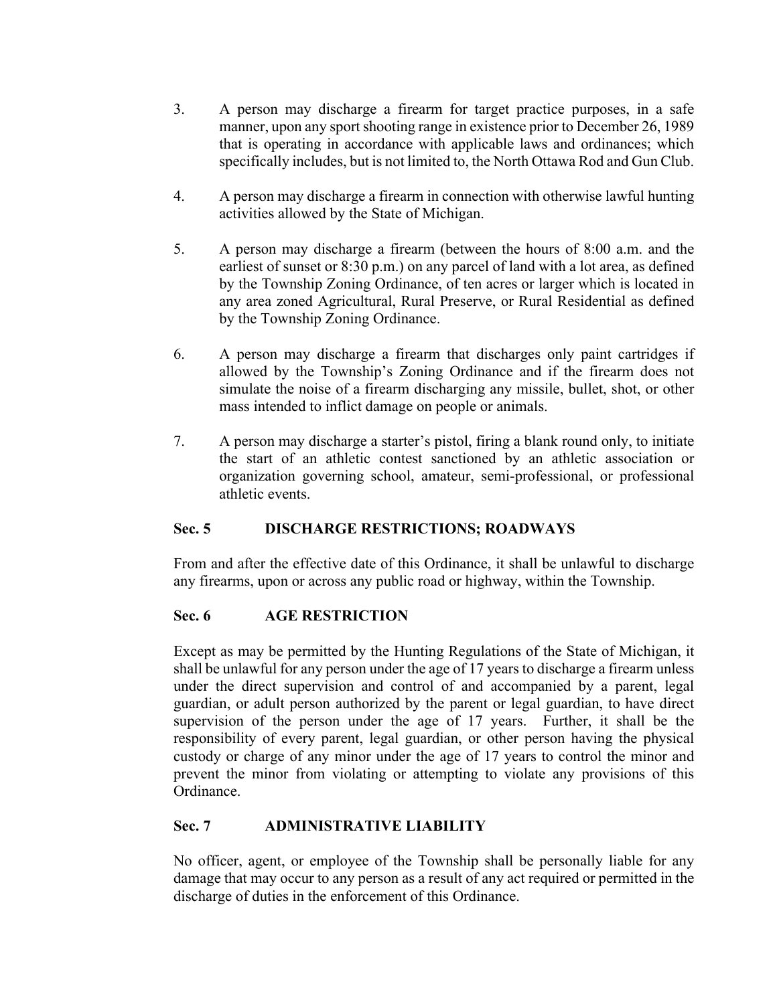- 3. A person may discharge a firearm for target practice purposes, in a safe manner, upon any sport shooting range in existence prior to December 26, 1989 that is operating in accordance with applicable laws and ordinances; which specifically includes, but is not limited to, the North Ottawa Rod and Gun Club.
- 4. A person may discharge a firearm in connection with otherwise lawful hunting activities allowed by the State of Michigan.
- 5. A person may discharge a firearm (between the hours of 8:00 a.m. and the earliest of sunset or 8:30 p.m.) on any parcel of land with a lot area, as defined by the Township Zoning Ordinance, of ten acres or larger which is located in any area zoned Agricultural, Rural Preserve, or Rural Residential as defined by the Township Zoning Ordinance.
- 6. A person may discharge a firearm that discharges only paint cartridges if allowed by the Township's Zoning Ordinance and if the firearm does not simulate the noise of a firearm discharging any missile, bullet, shot, or other mass intended to inflict damage on people or animals.
- 7. A person may discharge a starter's pistol, firing a blank round only, to initiate the start of an athletic contest sanctioned by an athletic association or organization governing school, amateur, semi-professional, or professional athletic events.

## **Sec. 5 DISCHARGE RESTRICTIONS; ROADWAYS**

From and after the effective date of this Ordinance, it shall be unlawful to discharge any firearms, upon or across any public road or highway, within the Township.

## **Sec. 6 AGE RESTRICTION**

Except as may be permitted by the Hunting Regulations of the State of Michigan, it shall be unlawful for any person under the age of 17 years to discharge a firearm unless under the direct supervision and control of and accompanied by a parent, legal guardian, or adult person authorized by the parent or legal guardian, to have direct supervision of the person under the age of 17 years. Further, it shall be the responsibility of every parent, legal guardian, or other person having the physical custody or charge of any minor under the age of 17 years to control the minor and prevent the minor from violating or attempting to violate any provisions of this Ordinance.

# **Sec. 7 ADMINISTRATIVE LIABILITY**

No officer, agent, or employee of the Township shall be personally liable for any damage that may occur to any person as a result of any act required or permitted in the discharge of duties in the enforcement of this Ordinance.